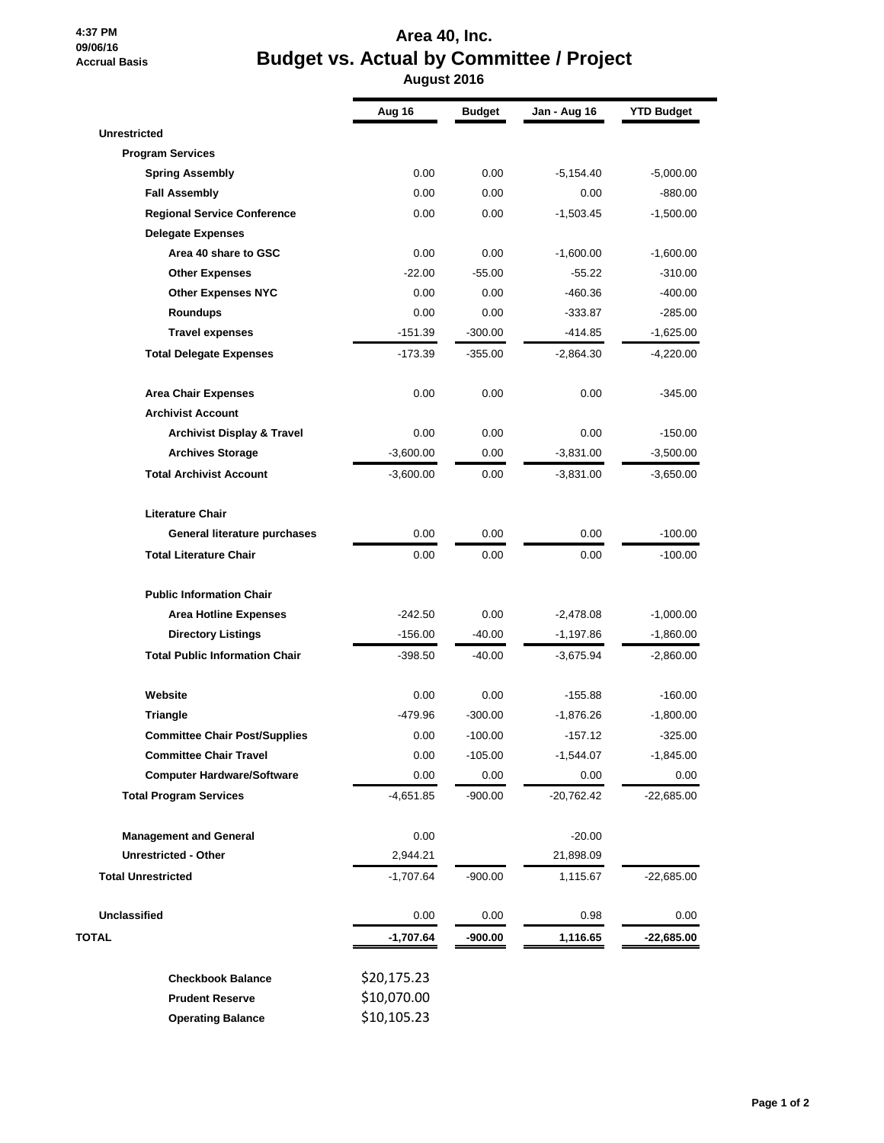## **4:37 PM 09/06/16 Accrual Basis**

## **Area 40, Inc. Budget vs. Actual by Committee / Project August 2016**

|                                       | Aug 16      | <b>Budget</b> | Jan - Aug 16 | <b>YTD Budget</b> |
|---------------------------------------|-------------|---------------|--------------|-------------------|
| <b>Unrestricted</b>                   |             |               |              |                   |
| <b>Program Services</b>               |             |               |              |                   |
| <b>Spring Assembly</b>                | 0.00        | 0.00          | $-5,154.40$  | $-5,000.00$       |
| <b>Fall Assembly</b>                  | 0.00        | 0.00          | 0.00         | $-880.00$         |
| <b>Regional Service Conference</b>    | 0.00        | 0.00          | -1,503.45    | $-1,500.00$       |
| <b>Delegate Expenses</b>              |             |               |              |                   |
| Area 40 share to GSC                  | 0.00        | 0.00          | $-1,600.00$  | $-1,600.00$       |
| <b>Other Expenses</b>                 | $-22.00$    | $-55.00$      | $-55.22$     | $-310.00$         |
| <b>Other Expenses NYC</b>             | 0.00        | 0.00          | $-460.36$    | $-400.00$         |
| <b>Roundups</b>                       | 0.00        | 0.00          | $-333.87$    | $-285.00$         |
| <b>Travel expenses</b>                | $-151.39$   | $-300.00$     | $-414.85$    | $-1,625.00$       |
| <b>Total Delegate Expenses</b>        | -173.39     | $-355.00$     | -2,864.30    | -4,220.00         |
| <b>Area Chair Expenses</b>            | 0.00        | 0.00          | 0.00         | $-345.00$         |
| <b>Archivist Account</b>              |             |               |              |                   |
| <b>Archivist Display &amp; Travel</b> | 0.00        | 0.00          | 0.00         | $-150.00$         |
| <b>Archives Storage</b>               | $-3,600.00$ | 0.00          | $-3,831.00$  | $-3,500.00$       |
| <b>Total Archivist Account</b>        | $-3,600.00$ | 0.00          | $-3,831.00$  | $-3,650.00$       |
| <b>Literature Chair</b>               |             |               |              |                   |
| General literature purchases          | 0.00        | 0.00          | 0.00         | $-100.00$         |
| <b>Total Literature Chair</b>         | 0.00        | 0.00          | 0.00         | $-100.00$         |
| <b>Public Information Chair</b>       |             |               |              |                   |
| <b>Area Hotline Expenses</b>          | $-242.50$   | 0.00          | $-2,478.08$  | $-1,000.00$       |
| <b>Directory Listings</b>             | $-156.00$   | $-40.00$      | $-1,197.86$  | $-1,860.00$       |
| <b>Total Public Information Chair</b> | $-398.50$   | $-40.00$      | $-3,675.94$  | $-2,860.00$       |
| Website                               | 0.00        | 0.00          | $-155.88$    | $-160.00$         |
| <b>Triangle</b>                       | -479.96     | $-300.00$     | $-1,876.26$  | $-1,800.00$       |
| <b>Committee Chair Post/Supplies</b>  | 0.00        | $-100.00$     | $-157.12$    | $-325.00$         |
| <b>Committee Chair Travel</b>         | 0.00        | $-105.00$     | $-1,544.07$  | $-1,845.00$       |
| <b>Computer Hardware/Software</b>     | 0.00        | 0.00          | 0.00         | 0.00              |
| <b>Total Program Services</b>         | -4,651.85   | $-900.00$     | -20,762.42   | $-22,685.00$      |
| <b>Management and General</b>         | 0.00        |               | $-20.00$     |                   |
| <b>Unrestricted - Other</b>           | 2,944.21    |               | 21,898.09    |                   |
| <b>Total Unrestricted</b>             | $-1,707.64$ | $-900.00$     | 1,115.67     | $-22,685.00$      |
| <b>Unclassified</b>                   | 0.00        | 0.00          | 0.98         | 0.00              |
| TOTAL                                 | $-1,707.64$ | $-900.00$     | 1,116.65     | $-22,685.00$      |
| <b>Checkbook Balance</b>              | \$20,175.23 |               |              |                   |
| <b>Prudent Reserve</b>                | \$10,070.00 |               |              |                   |
| <b>Operating Balance</b>              | \$10,105.23 |               |              |                   |